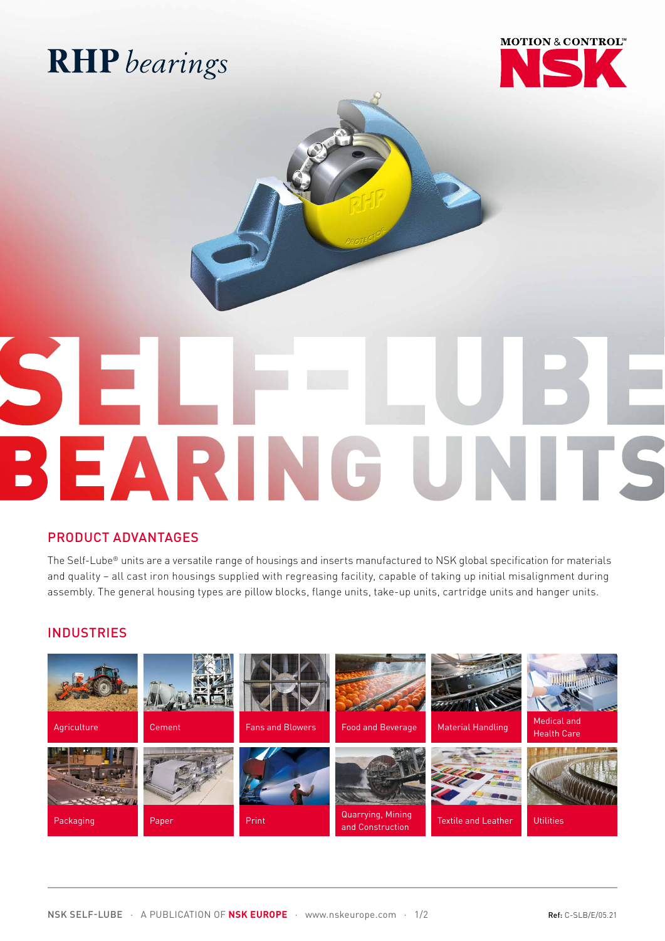## **RHP** bearings



# SEARING U TTS

#### PRODUCT ADVANTAGES

The Self-Lube® units are a versatile range of housings and inserts manufactured to NSK global specification for materials and quality – all cast iron housings supplied with regreasing facility, capable of taking up initial misalignment during assembly. The general housing types are pillow blocks, flange units, take-up units, cartridge units and hanger units.

#### **INDUSTRIES**